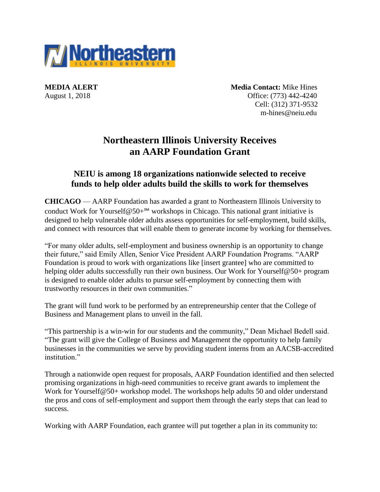

**MEDIA ALERT** Media Contact: Mike Hines August 1, 2018 **Office:** (773) 442-4240 Cell: (312) 371-9532 m-hines@neiu.edu

# **Northeastern Illinois University Receives an AARP Foundation Grant**

# **NEIU is among 18 organizations nationwide selected to receive funds to help older adults build the skills to work for themselves**

**CHICAGO** — AARP Foundation has awarded a grant to Northeastern Illinois University to conduct Work for Yourself@50+ $^{5M}$  workshops in Chicago. This national grant initiative is designed to help vulnerable older adults assess opportunities for self-employment, build skills, and connect with resources that will enable them to generate income by working for themselves.

"For many older adults, self-employment and business ownership is an opportunity to change their future," said Emily Allen, Senior Vice President AARP Foundation Programs. "AARP Foundation is proud to work with organizations like [insert grantee] who are committed to helping older adults successfully run their own business. Our Work for Yourself@50+ program is designed to enable older adults to pursue self-employment by connecting them with trustworthy resources in their own communities."

The grant will fund work to be performed by an entrepreneurship center that the College of Business and Management plans to unveil in the fall.

"This partnership is a win-win for our students and the community," Dean Michael Bedell said. "The grant will give the College of Business and Management the opportunity to help family businesses in the communities we serve by providing student interns from an AACSB-accredited institution."

Through a nationwide open request for proposals, AARP Foundation identified and then selected promising organizations in high-need communities to receive grant awards to implement the Work for Yourself@50+ workshop model. The workshops help adults 50 and older understand the pros and cons of self-employment and support them through the early steps that can lead to success.

Working with AARP Foundation, each grantee will put together a plan in its community to: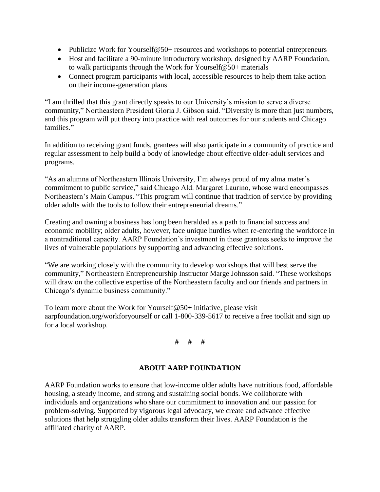- Publicize Work for Yourself@50+ resources and workshops to potential entrepreneurs
- Host and facilitate a 90-minute introductory workshop, designed by AARP Foundation, to walk participants through the Work for Yourself@50+ materials
- Connect program participants with local, accessible resources to help them take action on their income-generation plans

"I am thrilled that this grant directly speaks to our University's mission to serve a diverse community," Northeastern President Gloria J. Gibson said. "Diversity is more than just numbers, and this program will put theory into practice with real outcomes for our students and Chicago families."

In addition to receiving grant funds, grantees will also participate in a community of practice and regular assessment to help build a body of knowledge about effective older-adult services and programs.

"As an alumna of Northeastern Illinois University, I'm always proud of my alma mater's commitment to public service," said Chicago Ald. Margaret Laurino, whose ward encompasses Northeastern's Main Campus. "This program will continue that tradition of service by providing older adults with the tools to follow their entrepreneurial dreams."

Creating and owning a business has long been heralded as a path to financial success and economic mobility; older adults, however, face unique hurdles when re-entering the workforce in a nontraditional capacity. AARP Foundation's investment in these grantees seeks to improve the lives of vulnerable populations by supporting and advancing effective solutions.

"We are working closely with the community to develop workshops that will best serve the community," Northeastern Entrepreneurship Instructor Marge Johnsson said. "These workshops will draw on the collective expertise of the Northeastern faculty and our friends and partners in Chicago's dynamic business community."

To learn more about the Work for Yourself@50+ initiative, please visit aarpfoundation.org/workforyourself or call 1-800-339-5617 to receive a free toolkit and sign up for a local workshop.

## **# # #**

### **ABOUT AARP FOUNDATION**

AARP Foundation works to ensure that low-income older adults have nutritious food, affordable housing, a steady income, and strong and sustaining social bonds. We collaborate with individuals and organizations who share our commitment to innovation and our passion for problem-solving. Supported by vigorous legal advocacy, we create and advance effective solutions that help struggling older adults transform their lives. AARP Foundation is the affiliated charity of AARP.